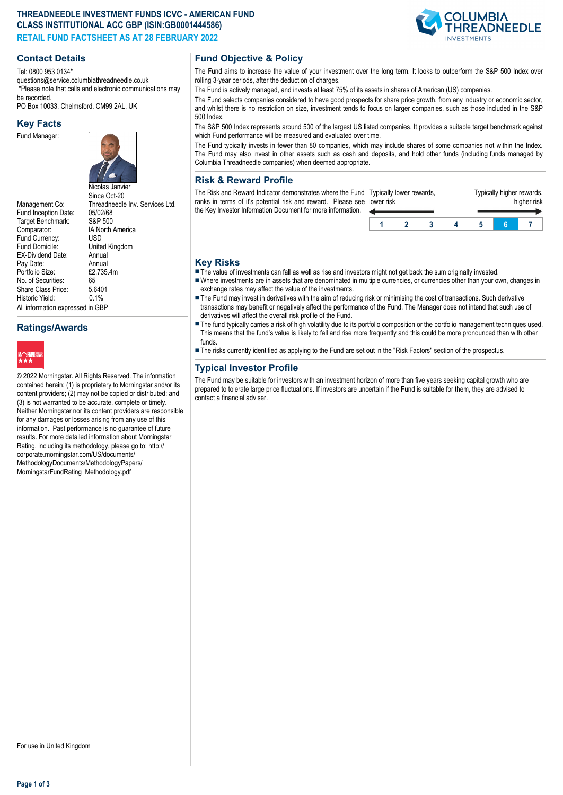## **THREADNEEDLE INVESTMENT FUNDS ICVC - AMERICAN FUND CLASS INSTITUTIONAL ACC GBP (ISIN:GB0001444586) RETAIL FUND FACTSHEET AS AT 28 FEBRUARY 2022**

### **Contact Details**

Tel: 0800 953 0134\*

questions@service.columbiathreadneedle.co.uk \*Please note that calls and electronic communications may be recorded.

PO Box 10033, Chelmsford. CM99 2AL, UK

#### **Key Facts**

Fund Manager:



Management Co: Threadneedle Inv. Services Ltd.<br>Fund Inception Date: 05/02/68 Fund Inception Date: 05/02/68<br>Target Benchmark: S&P 500 Target Benchmark: Comparator: IA North America<br>Fund Currency: USD Fund Currency:<br>Fund Domicile: United Kingdom<br>Annual EX-Dividend Date: Annual<br>Pay Date: Annual Pay Date: Annual<br>Portfolio Size: £2.735.4m Portfolio Size: No. of Securities: 65<br>Share Class Price: 5.6401 Share Class Price: Historic Vield: 0.1% All information expressed in GBP

# **Ratings/Awards**



© 2022 Morningstar. All Rights Reserved. The information contained herein: (1) is proprietary to Morningstar and/or its content providers; (2) may not be copied or distributed; and (3) is not warranted to be accurate, complete or timely. Neither Morningstar nor its content providers are responsible for any damages or losses arising from any use of this information. Past performance is no guarantee of future results. For more detailed information about Morningstar Rating, including its methodology, please go to: http:// corporate.morningstar.com/US/documents/ MethodologyDocuments/MethodologyPapers/ MorningstarFundRating\_Methodology.pdf

## **Fund Objective & Policy**

The Fund aims to increase the value of your investment over the long term. It looks to outperform the S&P 500 Index over rolling 3-year periods, after the deduction of charges.

The Fund is actively managed, and invests at least 75% of its assets in shares of American (US) companies.

The Fund selects companies considered to have good prospects for share price growth, from any industry or economic sector, and whilst there is no restriction on size, investment tends to focus on larger companies, such as those included in the S&P 500 Index.

The S&P 500 Index represents around 500 of the largest US listed companies. It provides a suitable target benchmark against which Fund performance will be measured and evaluated over time.

The Fund typically invests in fewer than 80 companies, which may include shares of some companies not within the Index. The Fund may also invest in other assets such as cash and deposits, and hold other funds (including funds managed by Columbia Threadneedle companies) when deemed appropriate.

## **Risk & Reward Profile**

The Risk and Reward Indicator demonstrates where the Fund Typically lower rewards, ranks in terms of it's potential risk and reward. Please see lower risk the Key Investor Information Document for more information.

| .<br>ower risk |  | . . | . | higher risk |
|----------------|--|-----|---|-------------|
|                |  |     |   |             |
|                |  |     |   |             |

Typically higher rewards

#### **Key Risks**

- $\blacksquare$  The value of investments can fall as well as rise and investors might not get back the sum originally invested.
- nWhere investments are in assets that are denominated in multiple currencies, or currencies other than your own, changes in exchange rates may affect the value of the investments.
- The Fund may invest in derivatives with the aim of reducing risk or minimising the cost of transactions. Such derivative transactions may benefit or negatively affect the performance of the Fund. The Manager does not intend that such use of derivatives will affect the overall risk profile of the Fund.
- The fund typically carries a risk of high volatility due to its portfolio composition or the portfolio management techniques used. This means that the fund's value is likely to fall and rise more frequently and this could be more pronounced than with other funds.
- n The risks currently identified as applying to the Fund are set out in the "Risk Factors" section of the prospectus.

# **Typical Investor Profile**

The Fund may be suitable for investors with an investment horizon of more than five years seeking capital growth who are prepared to tolerate large price fluctuations. If investors are uncertain if the Fund is suitable for them, they are advised to contact a financial adviser.

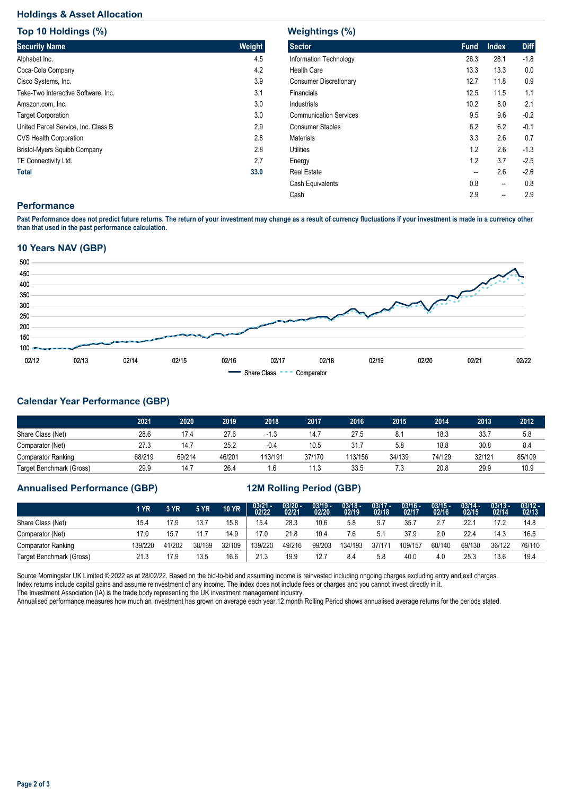# **Holdings & Asset Allocation**

| Top 10 Holdings (%)                 |        |
|-------------------------------------|--------|
| <b>Security Name</b>                | Weight |
| Alphabet Inc.                       | 4.5    |
| Coca-Cola Company                   | 4.2    |
| Cisco Systems, Inc.                 | 3.9    |
| Take-Two Interactive Software, Inc. | 3.1    |
| Amazon.com, Inc.                    | 3.0    |
| <b>Target Corporation</b>           | 3.0    |
| United Parcel Service, Inc. Class B | 2.9    |
| <b>CVS Health Corporation</b>       | 2.8    |
| Bristol-Myers Squibb Company        | 2.8    |
| TE Connectivity Ltd.                | 2.7    |
| <b>Total</b>                        | 33.0   |

| Weightings (%)                |             |              |             |  |  |  |  |  |  |  |  |
|-------------------------------|-------------|--------------|-------------|--|--|--|--|--|--|--|--|
| <b>Sector</b>                 | <b>Fund</b> | <b>Index</b> | <b>Diff</b> |  |  |  |  |  |  |  |  |
| Information Technology        | 26.3        | 28.1         | $-1.8$      |  |  |  |  |  |  |  |  |
| <b>Health Care</b>            | 13.3        | 13.3         | 0.0         |  |  |  |  |  |  |  |  |
| <b>Consumer Discretionary</b> | 12.7        | 11.8         | 0.9         |  |  |  |  |  |  |  |  |
| Financials                    | 12.5        | 11.5         | 1.1         |  |  |  |  |  |  |  |  |
| Industrials                   | 10.2        | 8.0          | 2.1         |  |  |  |  |  |  |  |  |
| <b>Communication Services</b> | 9.5         | 9.6          | $-0.2$      |  |  |  |  |  |  |  |  |
| <b>Consumer Staples</b>       | 6.2         | 6.2          | $-0.1$      |  |  |  |  |  |  |  |  |
| <b>Materials</b>              | 3.3         | 2.6          | 0.7         |  |  |  |  |  |  |  |  |
| Utilities                     | 12          | 2.6          | $-1.3$      |  |  |  |  |  |  |  |  |
| Energy                        | 1.2         | 3.7          | $-2.5$      |  |  |  |  |  |  |  |  |
| Real Estate                   | --          | 2.6          | $-2.6$      |  |  |  |  |  |  |  |  |
| Cash Equivalents              | 0.8         | --           | 0.8         |  |  |  |  |  |  |  |  |
| Cash                          | 2.9         | --           | 2.9         |  |  |  |  |  |  |  |  |

## **Performance**

**Past Performance does not predict future returns. The return of your investment may change as a result of currency fluctuations if your investment is made in a currency other than that used in the past performance calculation.** 

#### **10 Years NAV (GBP)**



# **Calendar Year Performance (GBP)**

|                           | 2021   | 2020   | 2019   | 2018    | 2017   | 2016    | 2015   | 2014   | 2013   | 2012   |
|---------------------------|--------|--------|--------|---------|--------|---------|--------|--------|--------|--------|
| Share Class (Net)         | 28.6   | 17.4   | 27.6   |         | 14.7   | 27.5    | 8.1    | 18.3   | 33.7   | 5.8    |
| Comparator (Net)          | 27.3   | 14.7   | 25.2   | $-0.4$  | 10.5   | 31.7    | 5.8    | 18.8   | 30.8   | 8.4    |
| <b>Comparator Ranking</b> | 68/219 | 69/214 | 46/201 | 113/191 | 37/170 | 113/156 | 34/139 | 74/129 | 32/121 | 85/109 |
| Target Benchmark (Gross)  | 29.9   | 14.7   | 26.4   | 6.،     | 11.3   | 33.5    | 7.3    | 20.8   | 29.9   | 10.9   |

#### **Annualised Performance (GBP) 12M Rolling Period (GBP)**

|                           | 1 YR   | 3 YR   | <b>5 YR</b> | <b>10 YR</b> | $03/21 - 02/22$ | $\frac{03/20 - 0.21}{02/21}$ | $\frac{03/19 - 03/20}{02/20}$ | $\frac{03/18 - 02}{19}$ | $\frac{03/17 - 02}{18}$ | 03/16 -<br>02/17 | $03/15 -$<br>02/16 | $03/14 -$<br>02/15 | $03/13 -$<br>02/14 | $\frac{03/12 - 03/12}{02/13}$ |
|---------------------------|--------|--------|-------------|--------------|-----------------|------------------------------|-------------------------------|-------------------------|-------------------------|------------------|--------------------|--------------------|--------------------|-------------------------------|
| Share Class (Net)         | 15.4   | 17.9   | 13.7        | 15.8         | 15.4            | 28.3                         | 10.6                          | 5.8                     | 9.7                     | 35.7             | 27                 | 22.7               | 17.2               | 14.8                          |
| Comparator (Net)          | 17.0   | 15.7   | 11.7        | 14.9         | 17.0            | 21.8                         | 10.4                          | 7.6                     | 5.1                     | 37.9             | 2.0                | 22.4               | 14.3               | 16.5                          |
| <b>Comparator Ranking</b> | 39/220 | 41/202 | 38/169      | 32/109       | 139/220         | 49/216                       | 99/203                        | 134/193                 | 37/171                  | 109/157          | 60/140             | 69/130             | 36/122             | 76/110                        |
| Target Benchmark (Gross)  | 21.3   | 17.9   | 13.5        | 16.6         | 21.3            | 19.9                         | 12.7                          | 8.4                     | 5.8                     | 40.0             | 4.0                | 25.3               | 13.6               | 19.4                          |

Source Morningstar UK Limited @ 2022 as at 28/02/22. Based on the bid-to-bid and assuming income is reinvested including ongoing charges excluding entry and exit charges. Index returns include capital gains and assume reinvestment of any income. The index does not include fees or charges and you cannot invest directly in it. The Investment Association (IA) is the trade body representing the UK investment management industry.

Annualised performance measures how much an investment has grown on average each year.12 month Rolling Period shows annualised average returns for the periods stated.